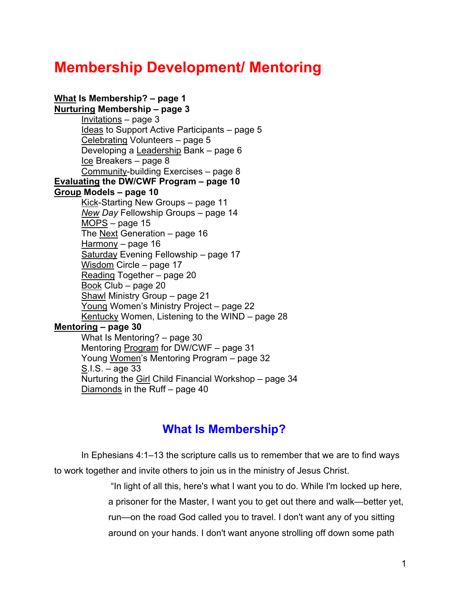# **Membership Development/ Mentoring**

**What Is Membership? – page 1 [Nurturing](#page-2-0) Membership – page 3**  $Invitations – page 3$  $Invitations – page 3$ [Ideas](#page-4-0) to Support Active Participants – page 5 [Celebrating](#page-4-0) Volunteers – page 5 Developing a [Leadership](#page-5-0) Bank – page 6 [Ice](#page-7-0) Breakers – page 8 [Community-b](#page-7-0)uilding Exercises – page 8 **[Evaluating](#page-9-0) the DW/CWF Program – page 10 [Group](#page-9-0) Models – page 10** [Kick-S](#page-10-0)tarting New Groups – page 11 *[New](#page-13-0) Day* Fellowship Groups – page 14 [MOPS](#page-14-0) – page 15 The [Next](#page-15-0) Generation – page 16 [Harmony](#page-15-0) – page 16 [Saturday](#page-16-0) Evening Fellowship - page 17 [Wisdom](#page-16-0) Circle – page 17 [Reading](#page-19-0) Together – page 20 [Book](#page-19-0) Club – page 20 [Shawl](#page-20-0) Ministry Group – page 21 [Young](#page-21-0) Women's Ministry Project – page 22 [Kentucky](#page-27-0) Women, Listening to the WIND – page 28 **[Mentoring](#page-29-0) – page 30** What Is Mentoring? – page 30 Mentoring [Program](#page-30-0) for DW/CWF – page 31 Young [Women's](#page-31-0) Mentoring Program – page 32 [S.](#page-32-0)I.S. – age 33 Nurturing the [Girl](#page-33-0) Child Financial Workshop – page 34 [Diamonds](#page-39-0) in the Ruff – page 40

# **What Is Membership?**

In Ephesians 4:1–13 the scripture calls us to remember that we are to find ways to work together and invite others to join us in the ministry of Jesus Christ.

> "In light of all this, here's what I want you to do. While I'm locked up here, a prisoner for the Master, I want you to get out there and walk—better yet, run—on the road God called you to travel. I don't want any of you sitting around on your hands. I don't want anyone strolling off down some path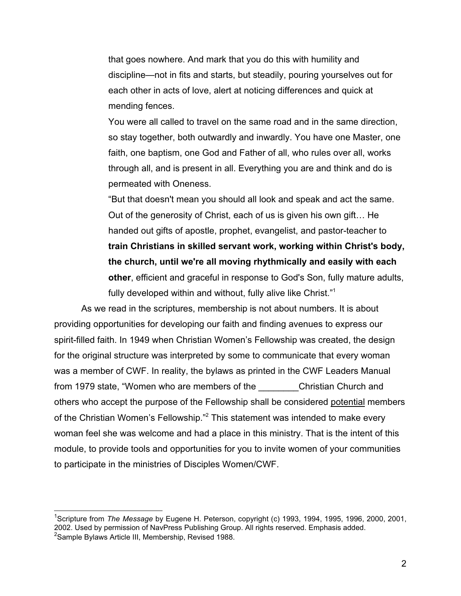that goes nowhere. And mark that you do this with humility and discipline—not in fits and starts, but steadily, pouring yourselves out for each other in acts of love, alert at noticing differences and quick at mending fences.

You were all called to travel on the same road and in the same direction, so stay together, both outwardly and inwardly. You have one Master, one faith, one baptism, one God and Father of all, who rules over all, works through all, and is present in all. Everything you are and think and do is permeated with Oneness.

"But that doesn't mean you should all look and speak and act the same. Out of the generosity of Christ, each of us is given his own gift… He handed out gifts of apostle, prophet, evangelist, and pastor-teacher to **train Christians in skilled servant work, working within Christ's body, the church, until we're all moving rhythmically and easily with each other**, efficient and graceful in response to God's Son, fully mature adults, fully developed within and without, fully alive like Christ."<sup>1</sup>

As we read in the scriptures, membership is not about numbers. It is about providing opportunities for developing our faith and finding avenues to express our spirit-filled faith. In 1949 when Christian Women's Fellowship was created, the design for the original structure was interpreted by some to communicate that every woman was a member of CWF. In reality, the bylaws as printed in the CWF Leaders Manual from 1979 state, "Women who are members of the Christian Church and others who accept the purpose of the Fellowship shall be considered potential members of the Christian Women's Fellowship."<sup>2</sup> This statement was intended to make every woman feel she was welcome and had a place in this ministry. That is the intent of this module, to provide tools and opportunities for you to invite women of your communities to participate in the ministries of Disciples Women/CWF.

 $\overline{a}$ 

<sup>1</sup> Scripture from *The Message* by Eugene H. Peterson, copyright (c) 1993, 1994, 1995, 1996, 2000, 2001, 2002. Used by permission of NavPress Publishing Group. All rights reserved. Emphasis added. <sup>2</sup>Sample Bylaws Article III, Membership, Revised 1988.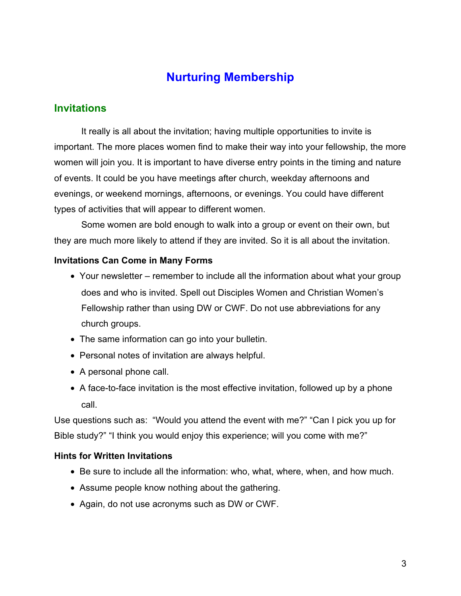# **Nurturing Membership**

# <span id="page-2-0"></span>**Invitations**

It really is all about the invitation; having multiple opportunities to invite is important. The more places women find to make their way into your fellowship, the more women will join you. It is important to have diverse entry points in the timing and nature of events. It could be you have meetings after church, weekday afternoons and evenings, or weekend mornings, afternoons, or evenings. You could have different types of activities that will appear to different women.

Some women are bold enough to walk into a group or event on their own, but they are much more likely to attend if they are invited. So it is all about the invitation.

### **Invitations Can Come in Many Forms**

- Your newsletter remember to include all the information about what your group does and who is invited. Spell out Disciples Women and Christian Women's Fellowship rather than using DW or CWF. Do not use abbreviations for any church groups.
- The same information can go into your bulletin.
- Personal notes of invitation are always helpful.
- A personal phone call.
- A face-to-face invitation is the most effective invitation, followed up by a phone call.

Use questions such as: "Would you attend the event with me?" "Can I pick you up for Bible study?" "I think you would enjoy this experience; will you come with me?"

### **Hints for Written Invitations**

- Be sure to include all the information: who, what, where, when, and how much.
- Assume people know nothing about the gathering.
- Again, do not use acronyms such as DW or CWF.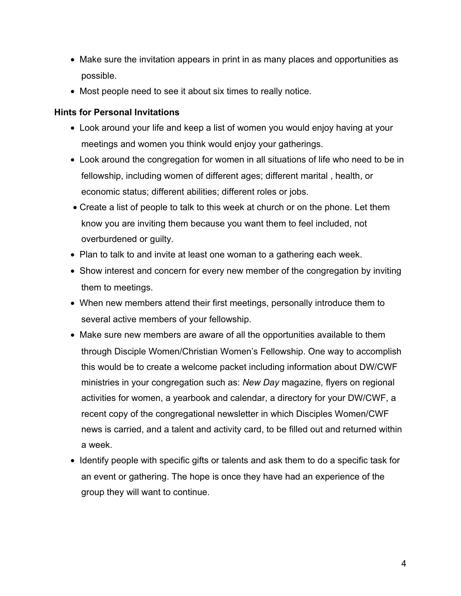- Make sure the invitation appears in print in as many places and opportunities as possible.
- Most people need to see it about six times to really notice.

# **Hints for Personal Invitations**

- Look around your life and keep a list of women you would enjoy having at your meetings and women you think would enjoy your gatherings.
- Look around the congregation for women in all situations of life who need to be in fellowship, including women of different ages; different marital , health, or economic status; different abilities; different roles or jobs.
- Create a list of people to talk to this week at church or on the phone. Let them know you are inviting them because you want them to feel included, not overburdened or guilty.
- Plan to talk to and invite at least one woman to a gathering each week.
- Show interest and concern for every new member of the congregation by inviting them to meetings.
- When new members attend their first meetings, personally introduce them to several active members of your fellowship.
- Make sure new members are aware of all the opportunities available to them through Disciple Women/Christian Women's Fellowship. One way to accomplish this would be to create a welcome packet including information about DW/CWF ministries in your congregation such as: *New Day* magazine*,* flyers on regional activities for women, a yearbook and calendar, a directory for your DW/CWF, a recent copy of the congregational newsletter in which Disciples Women/CWF news is carried, and a talent and activity card, to be filled out and returned within a week.
- Identify people with specific gifts or talents and ask them to do a specific task for an event or gathering. The hope is once they have had an experience of the group they will want to continue.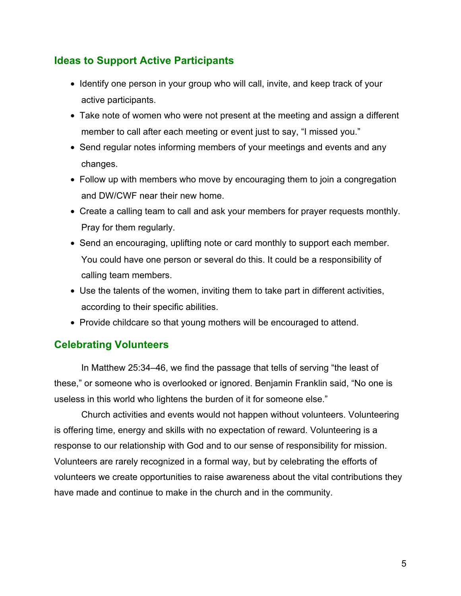# <span id="page-4-0"></span>**Ideas to Support Active Participants**

- Identify one person in your group who will call, invite, and keep track of your active participants.
- Take note of women who were not present at the meeting and assign a different member to call after each meeting or event just to say, "I missed you."
- Send regular notes informing members of your meetings and events and any changes.
- Follow up with members who move by encouraging them to join a congregation and DW/CWF near their new home.
- Create a calling team to call and ask your members for prayer requests monthly. Pray for them regularly.
- Send an encouraging, uplifting note or card monthly to support each member. You could have one person or several do this. It could be a responsibility of calling team members.
- Use the talents of the women, inviting them to take part in different activities, according to their specific abilities.
- Provide childcare so that young mothers will be encouraged to attend.

# **Celebrating Volunteers**

In Matthew 25:34–46, we find the passage that tells of serving "the least of these," or someone who is overlooked or ignored. Benjamin Franklin said, "No one is useless in this world who lightens the burden of it for someone else."

Church activities and events would not happen without volunteers. Volunteering is offering time, energy and skills with no expectation of reward. Volunteering is a response to our relationship with God and to our sense of responsibility for mission. Volunteers are rarely recognized in a formal way, but by celebrating the efforts of volunteers we create opportunities to raise awareness about the vital contributions they have made and continue to make in the church and in the community.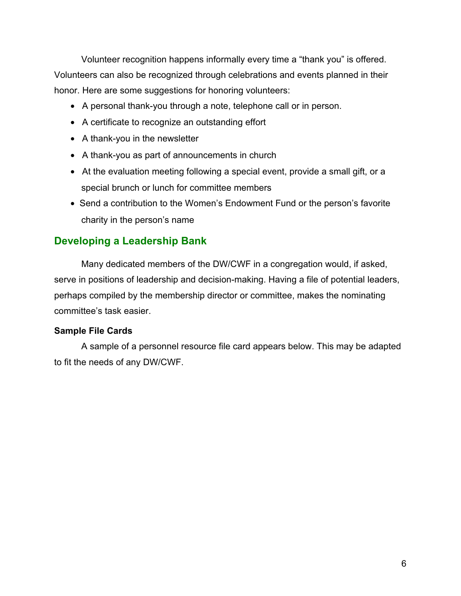<span id="page-5-0"></span>Volunteer recognition happens informally every time a "thank you" is offered. Volunteers can also be recognized through celebrations and events planned in their honor. Here are some suggestions for honoring volunteers:

- A personal thank-you through a note, telephone call or in person.
- A certificate to recognize an outstanding effort
- A thank-you in the newsletter
- A thank-you as part of announcements in church
- At the evaluation meeting following a special event, provide a small gift, or a special brunch or lunch for committee members
- Send a contribution to the Women's Endowment Fund or the person's favorite charity in the person's name

# **Developing a Leadership Bank**

Many dedicated members of the DW/CWF in a congregation would, if asked, serve in positions of leadership and decision-making. Having a file of potential leaders, perhaps compiled by the membership director or committee, makes the nominating committee's task easier.

# **Sample File Cards**

A sample of a personnel resource file card appears below. This may be adapted to fit the needs of any DW/CWF.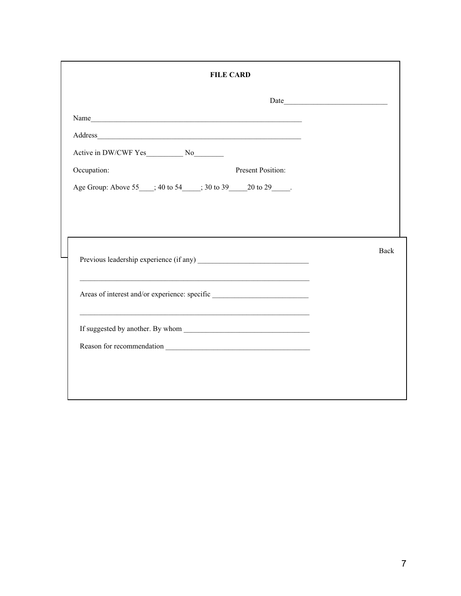| <b>FILE CARD</b>                                            |      |  |
|-------------------------------------------------------------|------|--|
|                                                             |      |  |
|                                                             |      |  |
|                                                             |      |  |
|                                                             |      |  |
| Occupation:<br><b>Present Position:</b>                     |      |  |
| Age Group: Above 55 ; 40 to 54 ; 30 to 39 20 to 29 .        |      |  |
|                                                             |      |  |
|                                                             |      |  |
|                                                             |      |  |
| Previous leadership experience (if any)                     | Back |  |
|                                                             |      |  |
|                                                             |      |  |
| <u> 1989 - Johann Stoff, amerikansk politiker (d. 1989)</u> |      |  |
|                                                             |      |  |
|                                                             |      |  |
|                                                             |      |  |
|                                                             |      |  |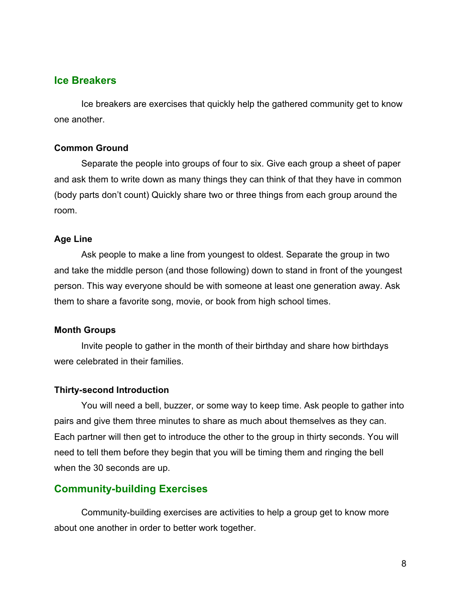### <span id="page-7-0"></span>**Ice Breakers**

Ice breakers are exercises that quickly help the gathered community get to know one another.

### **Common Ground**

Separate the people into groups of four to six. Give each group a sheet of paper and ask them to write down as many things they can think of that they have in common (body parts don't count) Quickly share two or three things from each group around the room.

#### **Age Line**

Ask people to make a line from youngest to oldest. Separate the group in two and take the middle person (and those following) down to stand in front of the youngest person. This way everyone should be with someone at least one generation away. Ask them to share a favorite song, movie, or book from high school times.

#### **Month Groups**

Invite people to gather in the month of their birthday and share how birthdays were celebrated in their families.

#### **Thirty-second Introduction**

You will need a bell, buzzer, or some way to keep time. Ask people to gather into pairs and give them three minutes to share as much about themselves as they can. Each partner will then get to introduce the other to the group in thirty seconds. You will need to tell them before they begin that you will be timing them and ringing the bell when the 30 seconds are up.

# **Community-building Exercises**

Community-building exercises are activities to help a group get to know more about one another in order to better work together.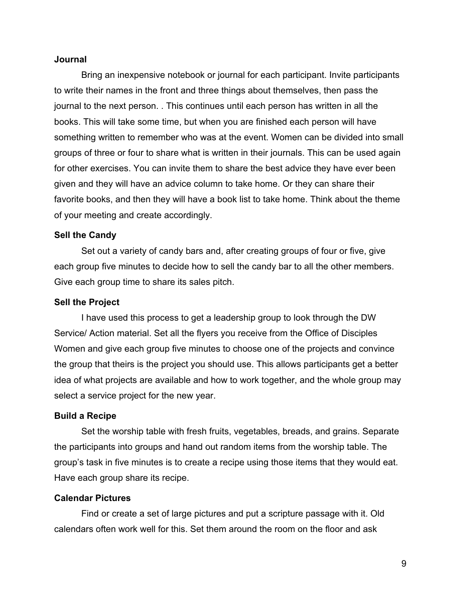### **Journal**

Bring an inexpensive notebook or journal for each participant. Invite participants to write their names in the front and three things about themselves, then pass the journal to the next person. . This continues until each person has written in all the books. This will take some time, but when you are finished each person will have something written to remember who was at the event. Women can be divided into small groups of three or four to share what is written in their journals. This can be used again for other exercises. You can invite them to share the best advice they have ever been given and they will have an advice column to take home. Or they can share their favorite books, and then they will have a book list to take home. Think about the theme of your meeting and create accordingly.

#### **Sell the Candy**

Set out a variety of candy bars and, after creating groups of four or five, give each group five minutes to decide how to sell the candy bar to all the other members. Give each group time to share its sales pitch.

#### **Sell the Project**

I have used this process to get a leadership group to look through the DW Service/ Action material. Set all the flyers you receive from the Office of Disciples Women and give each group five minutes to choose one of the projects and convince the group that theirs is the project you should use. This allows participants get a better idea of what projects are available and how to work together, and the whole group may select a service project for the new year.

#### **Build a Recipe**

Set the worship table with fresh fruits, vegetables, breads, and grains. Separate the participants into groups and hand out random items from the worship table. The group's task in five minutes is to create a recipe using those items that they would eat. Have each group share its recipe.

### **Calendar Pictures**

Find or create a set of large pictures and put a scripture passage with it. Old calendars often work well for this. Set them around the room on the floor and ask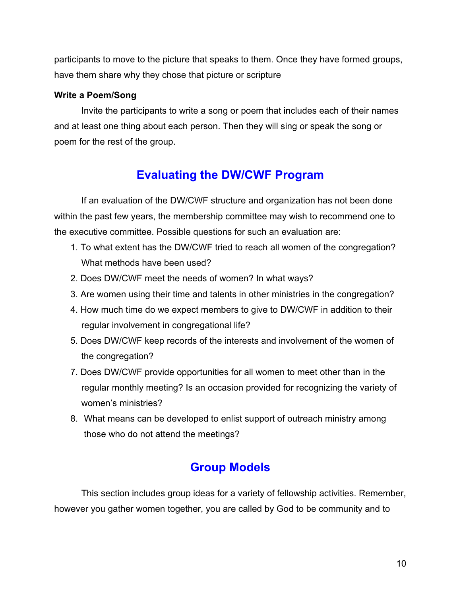<span id="page-9-0"></span>participants to move to the picture that speaks to them. Once they have formed groups, have them share why they chose that picture or scripture

### **Write a Poem/Song**

Invite the participants to write a song or poem that includes each of their names and at least one thing about each person. Then they will sing or speak the song or poem for the rest of the group.

# **Evaluating the DW/CWF Program**

If an evaluation of the DW/CWF structure and organization has not been done within the past few years, the membership committee may wish to recommend one to the executive committee. Possible questions for such an evaluation are:

- 1. To what extent has the DW/CWF tried to reach all women of the congregation? What methods have been used?
- 2. Does DW/CWF meet the needs of women? In what ways?
- 3. Are women using their time and talents in other ministries in the congregation?
- 4. How much time do we expect members to give to DW/CWF in addition to their regular involvement in congregational life?
- 5. Does DW/CWF keep records of the interests and involvement of the women of the congregation?
- 7. Does DW/CWF provide opportunities for all women to meet other than in the regular monthly meeting? Is an occasion provided for recognizing the variety of women's ministries?
- 8. What means can be developed to enlist support of outreach ministry among those who do not attend the meetings?

# **Group Models**

This section includes group ideas for a variety of fellowship activities. Remember, however you gather women together, you are called by God to be community and to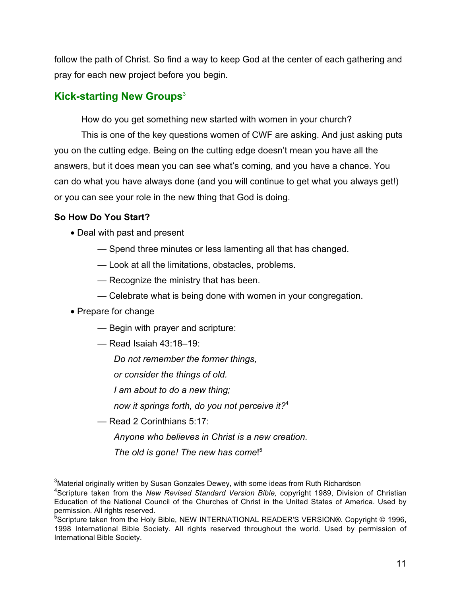<span id="page-10-0"></span>follow the path of Christ. So find a way to keep God at the center of each gathering and pray for each new project before you begin.

# **Kick-starting New Groups<sup>3</sup>**

How do you get something new started with women in your church?

This is one of the key questions women of CWF are asking. And just asking puts you on the cutting edge. Being on the cutting edge doesn't mean you have all the answers, but it does mean you can see what's coming, and you have a chance. You can do what you have always done (and you will continue to get what you always get!) or you can see your role in the new thing that God is doing.

# **So How Do You Start?**

- Deal with past and present
	- Spend three minutes or less lamenting all that has changed.
	- Look at all the limitations, obstacles, problems.
	- Recognize the ministry that has been.
	- Celebrate what is being done with women in your congregation.
- Prepare for change
	- Begin with prayer and scripture:
	- Read Isaiah 43:18–19:
		- *Do not remember the former things,*
		- *or consider the things of old.*
		- *I am about to do a new thing;*
		- *now it springs forth, do you not perceive it?*<sup>4</sup>
	- Read 2 Corinthians 5:17:
		- *Anyone who believes in Christ is a new creation.*
		- *The old is gone! The new has come*! 5

 $\overline{a}$  $^3$ Material originally written by Susan Gonzales Dewey, with some ideas from Ruth Richardson

<sup>4</sup> Scripture taken from the *New Revised Standard Version Bible,* copyright 1989, Division of Christian Education of the National Council of the Churches of Christ in the United States of America. Used by permission. All rights reserved.

 $^5$ Scripture taken from the Holy Bible, NEW INTERNATIONAL READER'S VERSION®. Copyright © 1996, 1998 International Bible Society. All rights reserved throughout the world. Used by permission of International Bible Society.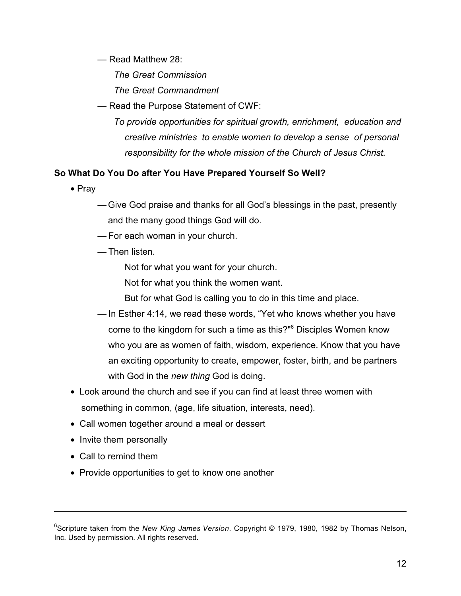— Read Matthew 28:

*The Great Commission*

*The Great Commandment*

— Read the Purpose Statement of CWF:

*To provide opportunities for spiritual growth, enrichment, education and creative ministries to enable women to develop a sense of personal responsibility for the whole mission of the Church of Jesus Christ.*

# **So What Do You Do after You Have Prepared Yourself So Well?**

- Pray
	- —Give God praise and thanks for all God's blessings in the past, presently and the many good things God will do.
	- For each woman in your church.
	- Then listen.

Not for what you want for your church.

Not for what you think the women want.

But for what God is calling you to do in this time and place.

- In Esther 4:14, we read these words, "Yet who knows whether you have come to the kingdom for such a time as this?"6 Disciples Women know who you are as women of faith, wisdom, experience. Know that you have an exciting opportunity to create, empower, foster, birth, and be partners with God in the *new thing* God is doing.
- Look around the church and see if you can find at least three women with something in common, (age, life situation, interests, need).
- Call women together around a meal or dessert
- Invite them personally
- Call to remind them

 $\overline{a}$ 

• Provide opportunities to get to know one another

<sup>6</sup> Scripture taken from the *New King James Version*. Copyright © 1979, 1980, 1982 by Thomas Nelson, Inc. Used by permission. All rights reserved.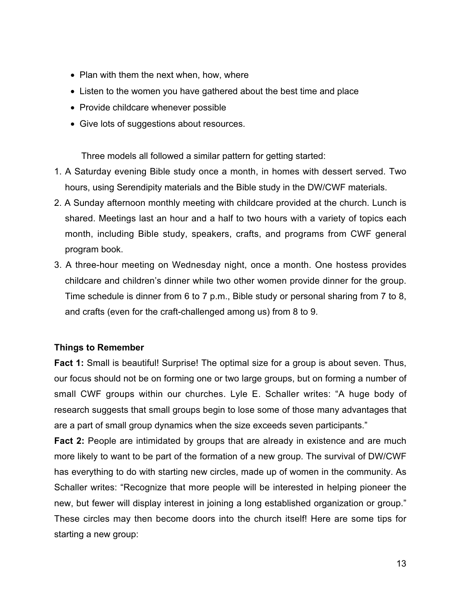- Plan with them the next when, how, where
- Listen to the women you have gathered about the best time and place
- Provide childcare whenever possible
- Give lots of suggestions about resources.

Three models all followed a similar pattern for getting started:

- 1. A Saturday evening Bible study once a month, in homes with dessert served. Two hours, using Serendipity materials and the Bible study in the DW/CWF materials.
- 2. A Sunday afternoon monthly meeting with childcare provided at the church. Lunch is shared. Meetings last an hour and a half to two hours with a variety of topics each month, including Bible study, speakers, crafts, and programs from CWF general program book.
- 3. A three-hour meeting on Wednesday night, once a month. One hostess provides childcare and children's dinner while two other women provide dinner for the group. Time schedule is dinner from 6 to 7 p.m., Bible study or personal sharing from 7 to 8, and crafts (even for the craft-challenged among us) from 8 to 9.

### **Things to Remember**

**Fact 1:** Small is beautiful! Surprise! The optimal size for a group is about seven. Thus, our focus should not be on forming one or two large groups, but on forming a number of small CWF groups within our churches. Lyle E. Schaller writes: "A huge body of research suggests that small groups begin to lose some of those many advantages that are a part of small group dynamics when the size exceeds seven participants."

**Fact 2:** People are intimidated by groups that are already in existence and are much more likely to want to be part of the formation of a new group. The survival of DW/CWF has everything to do with starting new circles, made up of women in the community. As Schaller writes: "Recognize that more people will be interested in helping pioneer the new, but fewer will display interest in joining a long established organization or group." These circles may then become doors into the church itself! Here are some tips for starting a new group: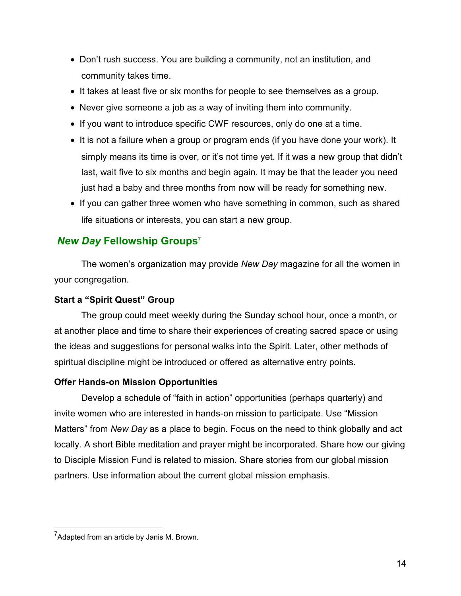- <span id="page-13-0"></span>• Don't rush success. You are building a community, not an institution, and community takes time.
- It takes at least five or six months for people to see themselves as a group.
- Never give someone a job as a way of inviting them into community.
- If you want to introduce specific CWF resources, only do one at a time.
- It is not a failure when a group or program ends (if you have done your work). It simply means its time is over, or it's not time yet. If it was a new group that didn't last, wait five to six months and begin again. It may be that the leader you need just had a baby and three months from now will be ready for something new.
- If you can gather three women who have something in common, such as shared life situations or interests, you can start a new group.

# *New Day* **Fellowship Groups**<sup>7</sup>

The women's organization may provide *New Day* magazine for all the women in your congregation.

### **Start a "Spirit Quest" Group**

The group could meet weekly during the Sunday school hour, once a month, or at another place and time to share their experiences of creating sacred space or using the ideas and suggestions for personal walks into the Spirit. Later, other methods of spiritual discipline might be introduced or offered as alternative entry points.

# **Offer Hands-on Mission Opportunities**

Develop a schedule of "faith in action" opportunities (perhaps quarterly) and invite women who are interested in hands-on mission to participate. Use "Mission Matters" from *New Day* as a place to begin. Focus on the need to think globally and act locally. A short Bible meditation and prayer might be incorporated. Share how our giving to Disciple Mission Fund is related to mission. Share stories from our global mission partners. Use information about the current global mission emphasis.

 7 Adapted from an article by Janis M. Brown.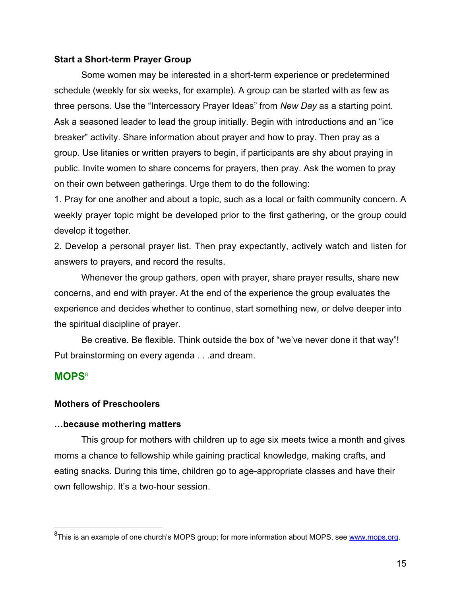#### <span id="page-14-0"></span>**Start a Short-term Prayer Group**

Some women may be interested in a short-term experience or predetermined schedule (weekly for six weeks, for example). A group can be started with as few as three persons. Use the "Intercessory Prayer Ideas" from *New Day* as a starting point. Ask a seasoned leader to lead the group initially. Begin with introductions and an "ice breaker" activity. Share information about prayer and how to pray. Then pray as a group. Use litanies or written prayers to begin, if participants are shy about praying in public. Invite women to share concerns for prayers, then pray. Ask the women to pray on their own between gatherings. Urge them to do the following:

1. Pray for one another and about a topic, such as a local or faith community concern. A weekly prayer topic might be developed prior to the first gathering, or the group could develop it together.

2. Develop a personal prayer list. Then pray expectantly, actively watch and listen for answers to prayers, and record the results.

Whenever the group gathers, open with prayer, share prayer results, share new concerns, and end with prayer. At the end of the experience the group evaluates the experience and decides whether to continue, start something new, or delve deeper into the spiritual discipline of prayer.

Be creative. Be flexible. Think outside the box of "we've never done it that way"! Put brainstorming on every agenda . . .and dream.

### **MOPS**<sup>8</sup>

### **Mothers of Preschoolers**

#### **…because mothering matters**

This group for mothers with children up to age six meets twice a month and gives moms a chance to fellowship while gaining practical knowledge, making crafts, and eating snacks. During this time, children go to age-appropriate classes and have their own fellowship. It's a two-hour session.

 8 This is an example of one church's MOPS group; for more information about MOPS, see [www.mops.org.](www.mops.org)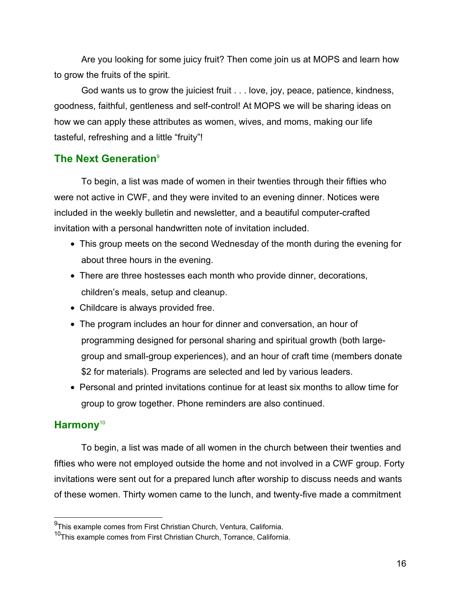<span id="page-15-0"></span>Are you looking for some juicy fruit? Then come join us at MOPS and learn how to grow the fruits of the spirit.

God wants us to grow the juiciest fruit . . . love, joy, peace, patience, kindness, goodness, faithful, gentleness and self-control! At MOPS we will be sharing ideas on how we can apply these attributes as women, wives, and moms, making our life tasteful, refreshing and a little "fruity"!

# **The Next Generation**<sup>9</sup>

To begin, a list was made of women in their twenties through their fifties who were not active in CWF, and they were invited to an evening dinner. Notices were included in the weekly bulletin and newsletter, and a beautiful computer-crafted invitation with a personal handwritten note of invitation included.

- This group meets on the second Wednesday of the month during the evening for about three hours in the evening.
- There are three hostesses each month who provide dinner, decorations, children's meals, setup and cleanup.
- Childcare is always provided free.
- The program includes an hour for dinner and conversation, an hour of programming designed for personal sharing and spiritual growth (both largegroup and small-group experiences), and an hour of craft time (members donate \$2 for materials). Programs are selected and led by various leaders.
- Personal and printed invitations continue for at least six months to allow time for group to grow together. Phone reminders are also continued.

# **Harmony**<sup>10</sup>

To begin, a list was made of all women in the church between their twenties and fifties who were not employed outside the home and not involved in a CWF group. Forty invitations were sent out for a prepared lunch after worship to discuss needs and wants of these women. Thirty women came to the lunch, and twenty-five made a commitment

 9 This example comes from First Christian Church, Ventura, California.

<sup>10</sup>This example comes from First Christian Church, Torrance, California.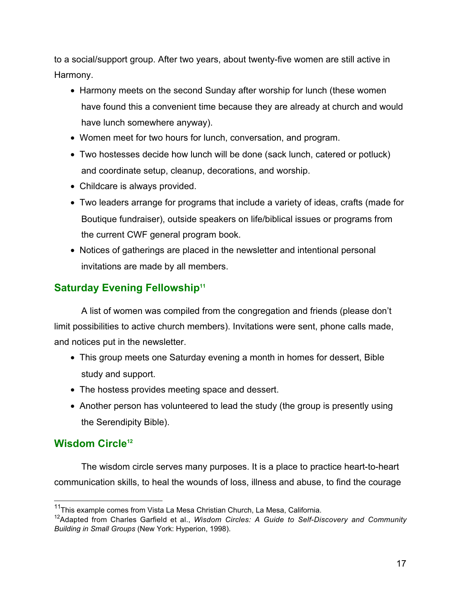<span id="page-16-0"></span>to a social/support group. After two years, about twenty-five women are still active in Harmony.

- Harmony meets on the second Sunday after worship for lunch (these women have found this a convenient time because they are already at church and would have lunch somewhere anyway).
- Women meet for two hours for lunch, conversation, and program.
- Two hostesses decide how lunch will be done (sack lunch, catered or potluck) and coordinate setup, cleanup, decorations, and worship.
- Childcare is always provided.
- Two leaders arrange for programs that include a variety of ideas, crafts (made for Boutique fundraiser), outside speakers on life/biblical issues or programs from the current CWF general program book.
- Notices of gatherings are placed in the newsletter and intentional personal invitations are made by all members.

# **Saturday Evening Fellowship<sup>11</sup>**

A list of women was compiled from the congregation and friends (please don't limit possibilities to active church members). Invitations were sent, phone calls made, and notices put in the newsletter.

- This group meets one Saturday evening a month in homes for dessert, Bible study and support.
- The hostess provides meeting space and dessert.
- Another person has volunteered to lead the study (the group is presently using the Serendipity Bible).

# **Wisdom Circle<sup>12</sup>**

 $\overline{a}$ 

The wisdom circle serves many purposes. It is a place to practice heart-to-heart communication skills, to heal the wounds of loss, illness and abuse, to find the courage

<sup>&</sup>lt;sup>11</sup>This example comes from Vista La Mesa Christian Church, La Mesa, California.

<sup>12</sup>Adapted from Charles Garfield et al., *Wisdom Circles: A Guide to Self-Discovery and Community Building in Small Groups* (New York: Hyperion, 1998).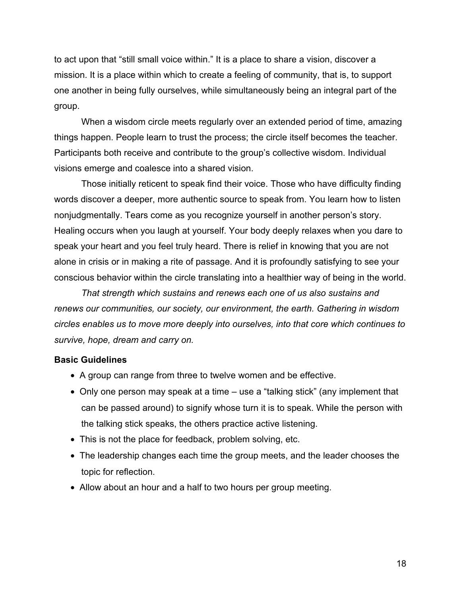to act upon that "still small voice within." It is a place to share a vision, discover a mission. It is a place within which to create a feeling of community, that is, to support one another in being fully ourselves, while simultaneously being an integral part of the group.

When a wisdom circle meets regularly over an extended period of time, amazing things happen. People learn to trust the process; the circle itself becomes the teacher. Participants both receive and contribute to the group's collective wisdom. Individual visions emerge and coalesce into a shared vision.

Those initially reticent to speak find their voice. Those who have difficulty finding words discover a deeper, more authentic source to speak from. You learn how to listen nonjudgmentally. Tears come as you recognize yourself in another person's story. Healing occurs when you laugh at yourself. Your body deeply relaxes when you dare to speak your heart and you feel truly heard. There is relief in knowing that you are not alone in crisis or in making a rite of passage. And it is profoundly satisfying to see your conscious behavior within the circle translating into a healthier way of being in the world.

*That strength which sustains and renews each one of us also sustains and renews our communities, our society, our environment, the earth. Gathering in wisdom circles enables us to move more deeply into ourselves, into that core which continues to survive, hope, dream and carry on.*

### **Basic Guidelines**

- A group can range from three to twelve women and be effective.
- Only one person may speak at a time use a "talking stick" (any implement that can be passed around) to signify whose turn it is to speak. While the person with the talking stick speaks, the others practice active listening.
- This is not the place for feedback, problem solving, etc.
- The leadership changes each time the group meets, and the leader chooses the topic for reflection.
- Allow about an hour and a half to two hours per group meeting.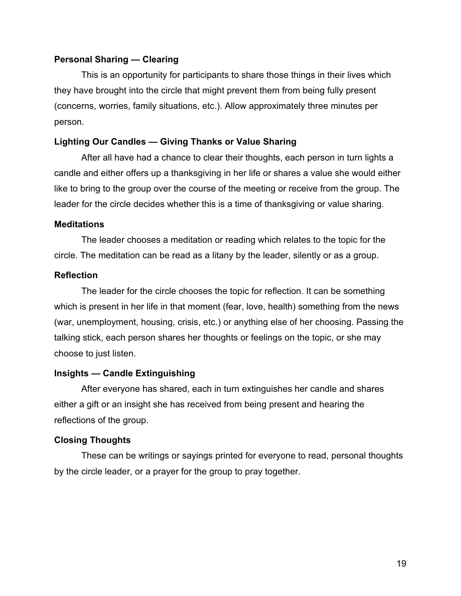### **Personal Sharing — Clearing**

This is an opportunity for participants to share those things in their lives which they have brought into the circle that might prevent them from being fully present (concerns, worries, family situations, etc.). Allow approximately three minutes per person.

### **Lighting Our Candles — Giving Thanks or Value Sharing**

After all have had a chance to clear their thoughts, each person in turn lights a candle and either offers up a thanksgiving in her life or shares a value she would either like to bring to the group over the course of the meeting or receive from the group. The leader for the circle decides whether this is a time of thanksgiving or value sharing.

### **Meditations**

The leader chooses a meditation or reading which relates to the topic for the circle. The meditation can be read as a litany by the leader, silently or as a group.

#### **Reflection**

The leader for the circle chooses the topic for reflection. It can be something which is present in her life in that moment (fear, love, health) something from the news (war, unemployment, housing, crisis, etc.) or anything else of her choosing. Passing the talking stick, each person shares her thoughts or feelings on the topic, or she may choose to just listen.

### **Insights — Candle Extinguishing**

After everyone has shared, each in turn extinguishes her candle and shares either a gift or an insight she has received from being present and hearing the reflections of the group.

### **Closing Thoughts**

These can be writings or sayings printed for everyone to read, personal thoughts by the circle leader, or a prayer for the group to pray together.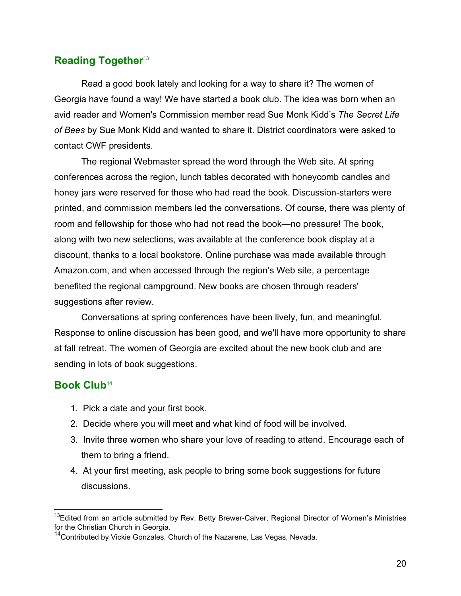# <span id="page-19-0"></span>**Reading Together<sup>13</sup>**

Read a good book lately and looking for a way to share it? The women of Georgia have found a way! We have started a book club. The idea was born when an avid reader and Women's Commission member read Sue Monk Kidd's *The Secret Life of Bees* by Sue Monk Kidd and wanted to share it. District coordinators were asked to contact CWF presidents.

The regional Webmaster spread the word through the Web site. At spring conferences across the region, lunch tables decorated with honeycomb candles and honey jars were reserved for those who had read the book. Discussion-starters were printed, and commission members led the conversations. Of course, there was plenty of room and fellowship for those who had not read the book—no pressure! The book, along with two new selections, was available at the conference book display at a discount, thanks to a local bookstore. Online purchase was made available through Amazon.com, and when accessed through the region's Web site, a percentage benefited the regional campground. New books are chosen through readers' suggestions after review.

Conversations at spring conferences have been lively, fun, and meaningful. Response to online discussion has been good, and we'll have more opportunity to share at fall retreat. The women of Georgia are excited about the new book club and are sending in lots of book suggestions.

# **Book Club**<sup>14</sup>

 $\overline{a}$ 

- 1. Pick a date and your first book.
- 2. Decide where you will meet and what kind of food will be involved.
- 3. Invite three women who share your love of reading to attend. Encourage each of them to bring a friend.
- 4. At your first meeting, ask people to bring some book suggestions for future discussions.

 $^{13}$ Edited from an article submitted by Rev. Betty Brewer-Calver, Regional Director of Women's Ministries for the Christian Church in Georgia.

<sup>&</sup>lt;sup>14</sup>Contributed by Vickie Gonzales, Church of the Nazarene, Las Vegas, Nevada.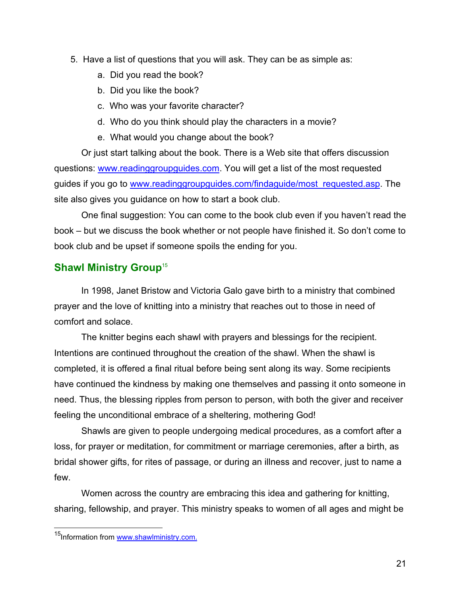- <span id="page-20-0"></span>5. Have a list of questions that you will ask. They can be as simple as:
	- a. Did you read the book?
	- b. Did you like the book?
	- c. Who was your favorite character?
	- d. Who do you think should play the characters in a movie?
	- e. What would you change about the book?

Or just start talking about the book. There is a Web site that offers discussion questions: [www.readinggroupguides.com.](www.readinggroupguides.com) You will get a list of the most requested guides if you go to [www.readinggroupguides.com/findaguide/most\\_requested.asp.](www.readinggroupguides.com/findaguide/most_requested.asp) The site also gives you guidance on how to start a book club.

One final suggestion: You can come to the book club even if you haven't read the book – but we discuss the book whether or not people have finished it. So don't come to book club and be upset if someone spoils the ending for you.

# **Shawl Ministry Group<sup>15</sup>**

In 1998, Janet Bristow and Victoria Galo gave birth to a ministry that combined prayer and the love of knitting into a ministry that reaches out to those in need of comfort and solace.

The knitter begins each shawl with prayers and blessings for the recipient. Intentions are continued throughout the creation of the shawl. When the shawl is completed, it is offered a final ritual before being sent along its way. Some recipients have continued the kindness by making one themselves and passing it onto someone in need. Thus, the blessing ripples from person to person, with both the giver and receiver feeling the unconditional embrace of a sheltering, mothering God!

Shawls are given to people undergoing medical procedures, as a comfort after a loss, for prayer or meditation, for commitment or marriage ceremonies, after a birth, as bridal shower gifts, for rites of passage, or during an illness and recover, just to name a few.

Women across the country are embracing this idea and gathering for knitting, sharing, fellowship, and prayer. This ministry speaks to women of all ages and might be

 $\overline{a}$ <sup>15</sup>Information from [www.shawlministry.com.](www.shawlministry.com)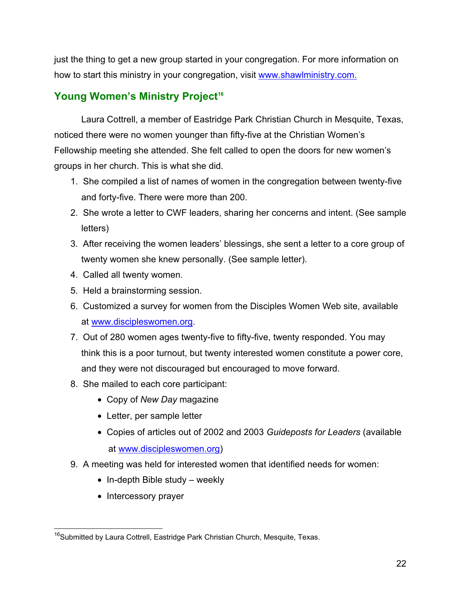<span id="page-21-0"></span>just the thing to get a new group started in your congregation. For more information on how to start this ministry in your congregation, visit [www.shawlministry.com.](www.shawlministry.com)

# **Young Women's Ministry Project<sup>16</sup>**

Laura Cottrell, a member of Eastridge Park Christian Church in Mesquite, Texas, noticed there were no women younger than fifty-five at the Christian Women's Fellowship meeting she attended. She felt called to open the doors for new women's groups in her church. This is what she did.

- 1. She compiled a list of names of women in the congregation between twenty-five and forty-five. There were more than 200.
- 2. She wrote a letter to CWF leaders, sharing her concerns and intent. (See sample letters)
- 3. After receiving the women leaders' blessings, she sent a letter to a core group of twenty women she knew personally. (See sample letter).
- 4. Called all twenty women.
- 5. Held a brainstorming session.
- 6. Customized a survey for women from the Disciples Women Web site, available at [www.discipleswomen.org.](www.discipleswomen.org)
- 7. Out of 280 women ages twenty-five to fifty-five, twenty responded. You may think this is a poor turnout, but twenty interested women constitute a power core, and they were not discouraged but encouraged to move forward.
- 8. She mailed to each core participant:
	- Copy of *New Day* magazine
	- Letter, per sample letter
	- Copies of articles out of 2002 and 2003 *Guideposts for Leaders* (available at [www.discipleswomen.org\)](www.discipleswomen.org)
- 9. A meeting was held for interested women that identified needs for women:
	- In-depth Bible study weekly
	- Intercessory prayer

 $\overline{a}$ <sup>16</sup>Submitted by Laura Cottrell, Eastridge Park Christian Church, Mesquite, Texas.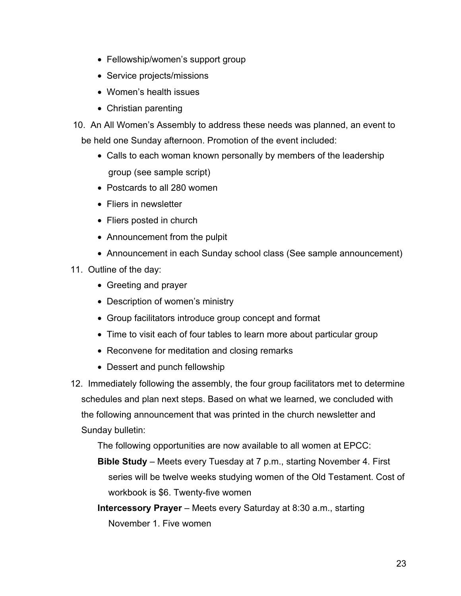- Fellowship/women's support group
- Service projects/missions
- Women's health issues
- Christian parenting
- 10. An All Women's Assembly to address these needs was planned, an event to be held one Sunday afternoon. Promotion of the event included:
	- Calls to each woman known personally by members of the leadership group (see sample script)
	- Postcards to all 280 women
	- Fliers in newsletter
	- Fliers posted in church
	- Announcement from the pulpit
	- Announcement in each Sunday school class (See sample announcement)
- 11. Outline of the day:
	- Greeting and prayer
	- Description of women's ministry
	- Group facilitators introduce group concept and format
	- Time to visit each of four tables to learn more about particular group
	- Reconvene for meditation and closing remarks
	- Dessert and punch fellowship
- 12. Immediately following the assembly, the four group facilitators met to determine schedules and plan next steps. Based on what we learned, we concluded with the following announcement that was printed in the church newsletter and Sunday bulletin:

The following opportunities are now available to all women at EPCC:

- **Bible Study** Meets every Tuesday at 7 p.m., starting November 4. First series will be twelve weeks studying women of the Old Testament. Cost of workbook is \$6. Twenty-five women
- **Intercessory Prayer** Meets every Saturday at 8:30 a.m., starting November 1. Five women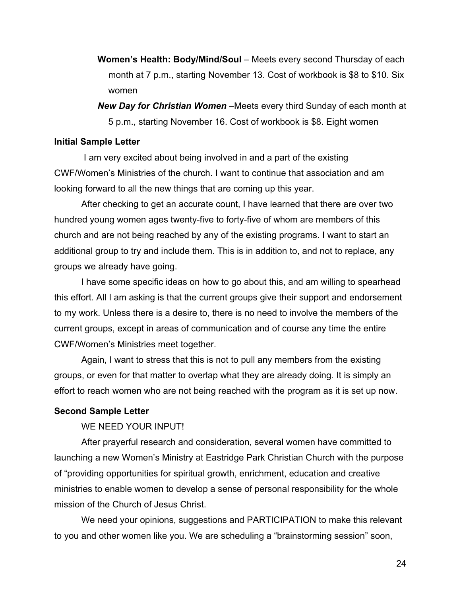- **Women's Health: Body/Mind/Soul** Meets every second Thursday of each month at 7 p.m., starting November 13. Cost of workbook is \$8 to \$10. Six women
- *New Day for Christian Women –*Meets every third Sunday of each month at 5 p.m., starting November 16. Cost of workbook is \$8. Eight women

### **Initial Sample Letter**

 I am very excited about being involved in and a part of the existing CWF/Women's Ministries of the church. I want to continue that association and am looking forward to all the new things that are coming up this year.

After checking to get an accurate count, I have learned that there are over two hundred young women ages twenty-five to forty-five of whom are members of this church and are not being reached by any of the existing programs. I want to start an additional group to try and include them. This is in addition to, and not to replace, any groups we already have going.

I have some specific ideas on how to go about this, and am willing to spearhead this effort. All I am asking is that the current groups give their support and endorsement to my work. Unless there is a desire to, there is no need to involve the members of the current groups, except in areas of communication and of course any time the entire CWF/Women's Ministries meet together.

Again, I want to stress that this is not to pull any members from the existing groups, or even for that matter to overlap what they are already doing. It is simply an effort to reach women who are not being reached with the program as it is set up now.

#### **Second Sample Letter**

WE NEED YOUR INPUT!

After prayerful research and consideration, several women have committed to launching a new Women's Ministry at Eastridge Park Christian Church with the purpose of "providing opportunities for spiritual growth, enrichment, education and creative ministries to enable women to develop a sense of personal responsibility for the whole mission of the Church of Jesus Christ.

We need your opinions, suggestions and PARTICIPATION to make this relevant to you and other women like you. We are scheduling a "brainstorming session" soon,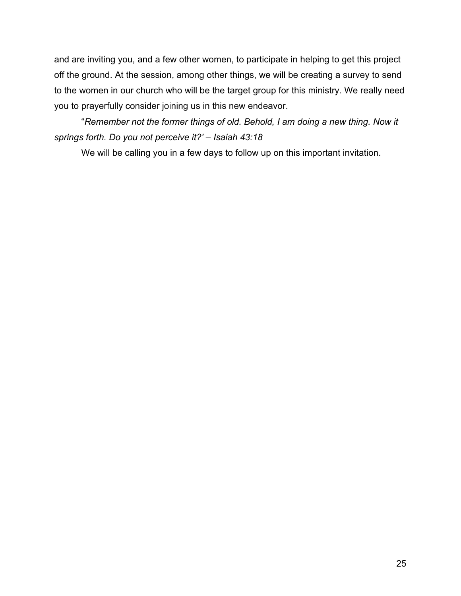and are inviting you, and a few other women, to participate in helping to get this project off the ground. At the session, among other things, we will be creating a survey to send to the women in our church who will be the target group for this ministry. We really need you to prayerfully consider joining us in this new endeavor.

"*Remember not the former things of old. Behold, I am doing a new thing. Now it springs forth. Do you not perceive it?' – Isaiah 43:18*

We will be calling you in a few days to follow up on this important invitation.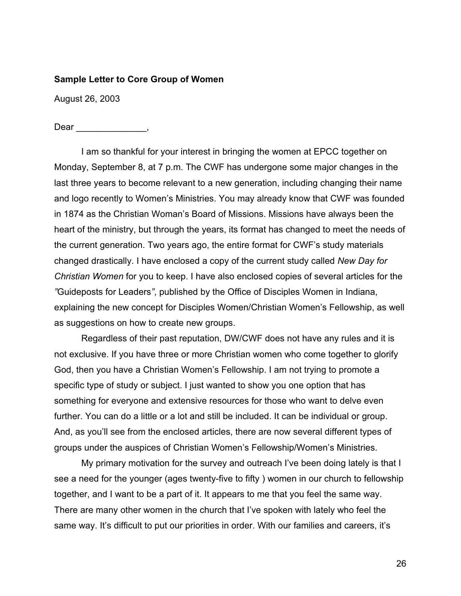#### **Sample Letter to Core Group of Women**

August 26, 2003

Dear \_\_\_\_\_\_\_\_\_\_\_\_\_\_\_,

I am so thankful for your interest in bringing the women at EPCC together on Monday, September 8, at 7 p.m. The CWF has undergone some major changes in the last three years to become relevant to a new generation, including changing their name and logo recently to Women's Ministries. You may already know that CWF was founded in 1874 as the Christian Woman's Board of Missions. Missions have always been the heart of the ministry, but through the years, its format has changed to meet the needs of the current generation. Two years ago, the entire format for CWF's study materials changed drastically. I have enclosed a copy of the current study called *New Day for Christian Women* for you to keep. I have also enclosed copies of several articles for the *"*Guideposts for Leaders*"*, published by the Office of Disciples Women in Indiana, explaining the new concept for Disciples Women/Christian Women's Fellowship, as well as suggestions on how to create new groups.

Regardless of their past reputation, DW/CWF does not have any rules and it is not exclusive. If you have three or more Christian women who come together to glorify God, then you have a Christian Women's Fellowship. I am not trying to promote a specific type of study or subject. I just wanted to show you one option that has something for everyone and extensive resources for those who want to delve even further. You can do a little or a lot and still be included. It can be individual or group. And, as you'll see from the enclosed articles, there are now several different types of groups under the auspices of Christian Women's Fellowship/Women's Ministries.

My primary motivation for the survey and outreach I've been doing lately is that I see a need for the younger (ages twenty-five to fifty ) women in our church to fellowship together, and I want to be a part of it. It appears to me that you feel the same way. There are many other women in the church that I've spoken with lately who feel the same way. It's difficult to put our priorities in order. With our families and careers, it's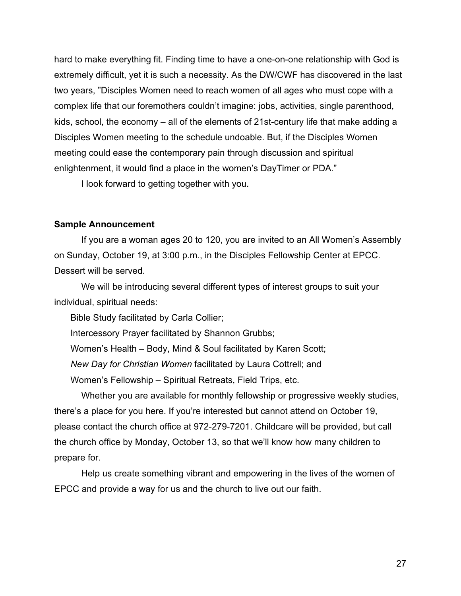hard to make everything fit. Finding time to have a one-on-one relationship with God is extremely difficult, yet it is such a necessity. As the DW/CWF has discovered in the last two years, "Disciples Women need to reach women of all ages who must cope with a complex life that our foremothers couldn't imagine: jobs, activities, single parenthood, kids, school, the economy – all of the elements of 21st-century life that make adding a Disciples Women meeting to the schedule undoable. But, if the Disciples Women meeting could ease the contemporary pain through discussion and spiritual enlightenment, it would find a place in the women's DayTimer or PDA."

I look forward to getting together with you.

#### **Sample Announcement**

If you are a woman ages 20 to 120, you are invited to an All Women's Assembly on Sunday, October 19, at 3:00 p.m., in the Disciples Fellowship Center at EPCC. Dessert will be served.

We will be introducing several different types of interest groups to suit your individual, spiritual needs:

Bible Study facilitated by Carla Collier;

Intercessory Prayer facilitated by Shannon Grubbs;

Women's Health – Body, Mind & Soul facilitated by Karen Scott;

*New Day for Christian Women* facilitated by Laura Cottrell; and

Women's Fellowship – Spiritual Retreats, Field Trips, etc.

Whether you are available for monthly fellowship or progressive weekly studies, there's a place for you here. If you're interested but cannot attend on October 19, please contact the church office at 972-279-7201. Childcare will be provided, but call the church office by Monday, October 13, so that we'll know how many children to prepare for.

Help us create something vibrant and empowering in the lives of the women of EPCC and provide a way for us and the church to live out our faith.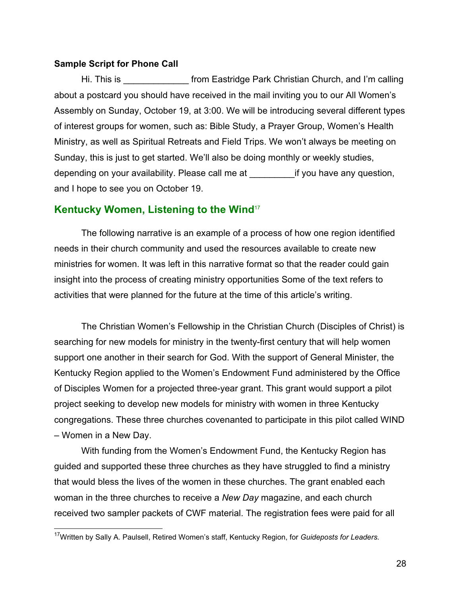#### <span id="page-27-0"></span>**Sample Script for Phone Call**

 $\overline{a}$ 

Hi. This is **Example 20 From Eastridge Park Christian Church, and I'm calling** about a postcard you should have received in the mail inviting you to our All Women's Assembly on Sunday, October 19, at 3:00. We will be introducing several different types of interest groups for women, such as: Bible Study, a Prayer Group, Women's Health Ministry, as well as Spiritual Retreats and Field Trips. We won't always be meeting on Sunday, this is just to get started. We'll also be doing monthly or weekly studies, depending on your availability. Please call me at if you have any question, and I hope to see you on October 19.

### **Kentucky Women, Listening to the Wind**<sup>17</sup>

The following narrative is an example of a process of how one region identified needs in their church community and used the resources available to create new ministries for women. It was left in this narrative format so that the reader could gain insight into the process of creating ministry opportunities Some of the text refers to activities that were planned for the future at the time of this article's writing.

The Christian Women's Fellowship in the Christian Church (Disciples of Christ) is searching for new models for ministry in the twenty-first century that will help women support one another in their search for God. With the support of General Minister, the Kentucky Region applied to the Women's Endowment Fund administered by the Office of Disciples Women for a projected three-year grant. This grant would support a pilot project seeking to develop new models for ministry with women in three Kentucky congregations. These three churches covenanted to participate in this pilot called WIND – Women in a New Day.

With funding from the Women's Endowment Fund, the Kentucky Region has guided and supported these three churches as they have struggled to find a ministry that would bless the lives of the women in these churches. The grant enabled each woman in the three churches to receive a *New Day* magazine, and each church received two sampler packets of CWF material. The registration fees were paid for all

<sup>17</sup>Written by Sally A. Paulsell, Retired Women's staff, Kentucky Region, for *Guideposts for Leaders.*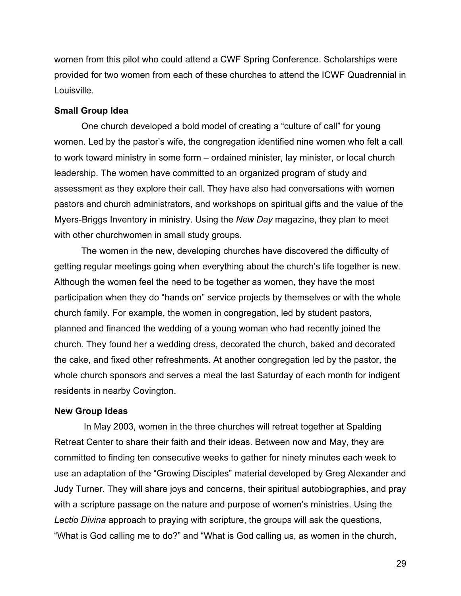women from this pilot who could attend a CWF Spring Conference. Scholarships were provided for two women from each of these churches to attend the ICWF Quadrennial in Louisville.

#### **Small Group Idea**

One church developed a bold model of creating a "culture of call" for young women. Led by the pastor's wife, the congregation identified nine women who felt a call to work toward ministry in some form – ordained minister, lay minister, or local church leadership. The women have committed to an organized program of study and assessment as they explore their call. They have also had conversations with women pastors and church administrators, and workshops on spiritual gifts and the value of the Myers-Briggs Inventory in ministry. Using the *New Day* magazine, they plan to meet with other churchwomen in small study groups.

The women in the new, developing churches have discovered the difficulty of getting regular meetings going when everything about the church's life together is new. Although the women feel the need to be together as women, they have the most participation when they do "hands on" service projects by themselves or with the whole church family. For example, the women in congregation, led by student pastors, planned and financed the wedding of a young woman who had recently joined the church. They found her a wedding dress, decorated the church, baked and decorated the cake, and fixed other refreshments. At another congregation led by the pastor, the whole church sponsors and serves a meal the last Saturday of each month for indigent residents in nearby Covington.

#### **New Group Ideas**

In May 2003, women in the three churches will retreat together at Spalding Retreat Center to share their faith and their ideas. Between now and May, they are committed to finding ten consecutive weeks to gather for ninety minutes each week to use an adaptation of the "Growing Disciples" material developed by Greg Alexander and Judy Turner. They will share joys and concerns, their spiritual autobiographies, and pray with a scripture passage on the nature and purpose of women's ministries. Using the *Lectio Divina* approach to praying with scripture, the groups will ask the questions, "What is God calling me to do?" and "What is God calling us, as women in the church,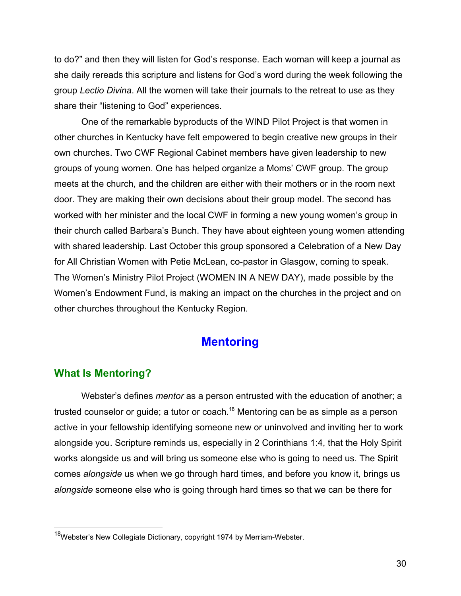<span id="page-29-0"></span>to do?" and then they will listen for God's response. Each woman will keep a journal as she daily rereads this scripture and listens for God's word during the week following the group *Lectio Divina*. All the women will take their journals to the retreat to use as they share their "listening to God" experiences.

One of the remarkable byproducts of the WIND Pilot Project is that women in other churches in Kentucky have felt empowered to begin creative new groups in their own churches. Two CWF Regional Cabinet members have given leadership to new groups of young women. One has helped organize a Moms' CWF group. The group meets at the church, and the children are either with their mothers or in the room next door. They are making their own decisions about their group model. The second has worked with her minister and the local CWF in forming a new young women's group in their church called Barbara's Bunch. They have about eighteen young women attending with shared leadership. Last October this group sponsored a Celebration of a New Day for All Christian Women with Petie McLean, co-pastor in Glasgow, coming to speak. The Women's Ministry Pilot Project (WOMEN IN A NEW DAY), made possible by the Women's Endowment Fund, is making an impact on the churches in the project and on other churches throughout the Kentucky Region.

# **Mentoring**

# **What Is Mentoring?**

 $\overline{a}$ 

Webster's defines *mentor* as a person entrusted with the education of another; a trusted counselor or guide; a tutor or coach.<sup>18</sup> Mentoring can be as simple as a person active in your fellowship identifying someone new or uninvolved and inviting her to work alongside you. Scripture reminds us, especially in 2 Corinthians 1:4, that the Holy Spirit works alongside us and will bring us someone else who is going to need us. The Spirit comes *alongside* us when we go through hard times, and before you know it, brings us *alongside* someone else who is going through hard times so that we can be there for

<sup>&</sup>lt;sup>18</sup>Webster's New Collegiate Dictionary, copyright 1974 by Merriam-Webster.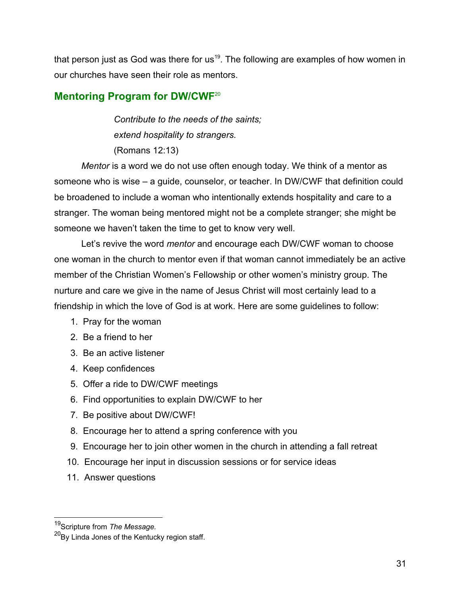<span id="page-30-0"></span>that person just as God was there for us<sup>19</sup>. The following are examples of how women in our churches have seen their role as mentors.

# **Mentoring Program for DW/CWF**<sup>20</sup>

*Contribute to the needs of the saints; extend hospitality to strangers.*

(Romans 12:13)

*Mentor* is a word we do not use often enough today. We think of a mentor as someone who is wise – a guide, counselor, or teacher. In DW/CWF that definition could be broadened to include a woman who intentionally extends hospitality and care to a stranger. The woman being mentored might not be a complete stranger; she might be someone we haven't taken the time to get to know very well.

Let's revive the word *mentor* and encourage each DW/CWF woman to choose one woman in the church to mentor even if that woman cannot immediately be an active member of the Christian Women's Fellowship or other women's ministry group. The nurture and care we give in the name of Jesus Christ will most certainly lead to a friendship in which the love of God is at work. Here are some guidelines to follow:

- 1. Pray for the woman
- 2. Be a friend to her
- 3. Be an active listener
- 4. Keep confidences
- 5. Offer a ride to DW/CWF meetings
- 6. Find opportunities to explain DW/CWF to her
- 7. Be positive about DW/CWF!
- 8. Encourage her to attend a spring conference with you
- 9. Encourage her to join other women in the church in attending a fall retreat
- 10. Encourage her input in discussion sessions or for service ideas
- 11. Answer questions

 $\overline{a}$ 

<sup>19</sup>Scripture from *The Message.*

 $20Bv$  Linda Jones of the Kentucky region staff.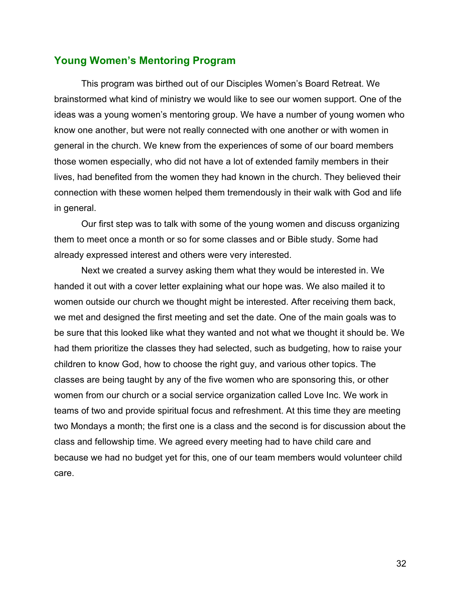# <span id="page-31-0"></span>**Young Women's Mentoring Program**

This program was birthed out of our Disciples Women's Board Retreat. We brainstormed what kind of ministry we would like to see our women support. One of the ideas was a young women's mentoring group. We have a number of young women who know one another, but were not really connected with one another or with women in general in the church. We knew from the experiences of some of our board members those women especially, who did not have a lot of extended family members in their lives, had benefited from the women they had known in the church. They believed their connection with these women helped them tremendously in their walk with God and life in general.

Our first step was to talk with some of the young women and discuss organizing them to meet once a month or so for some classes and or Bible study. Some had already expressed interest and others were very interested.

Next we created a survey asking them what they would be interested in. We handed it out with a cover letter explaining what our hope was. We also mailed it to women outside our church we thought might be interested. After receiving them back, we met and designed the first meeting and set the date. One of the main goals was to be sure that this looked like what they wanted and not what we thought it should be. We had them prioritize the classes they had selected, such as budgeting, how to raise your children to know God, how to choose the right guy, and various other topics. The classes are being taught by any of the five women who are sponsoring this, or other women from our church or a social service organization called Love Inc. We work in teams of two and provide spiritual focus and refreshment. At this time they are meeting two Mondays a month; the first one is a class and the second is for discussion about the class and fellowship time. We agreed every meeting had to have child care and because we had no budget yet for this, one of our team members would volunteer child care.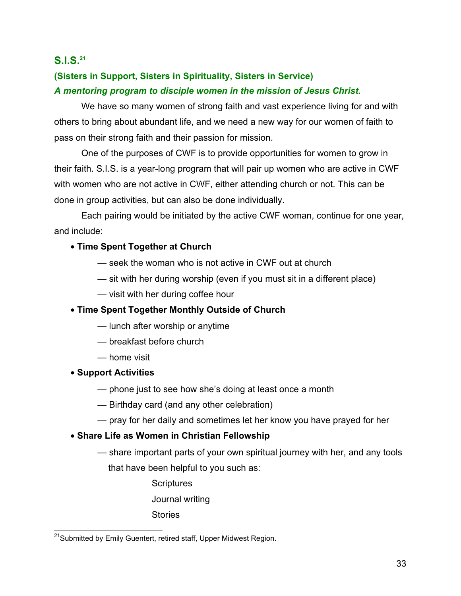# <span id="page-32-0"></span>**S.I.S.21**

# **(Sisters in Support, Sisters in Spirituality, Sisters in Service)** *A mentoring program to disciple women in the mission of Jesus Christ.*

We have so many women of strong faith and vast experience living for and with others to bring about abundant life, and we need a new way for our women of faith to pass on their strong faith and their passion for mission.

One of the purposes of CWF is to provide opportunities for women to grow in their faith. S.I.S. is a year-long program that will pair up women who are active in CWF with women who are not active in CWF, either attending church or not. This can be done in group activities, but can also be done individually.

Each pairing would be initiated by the active CWF woman, continue for one year, and include:

### • **Time Spent Together at Church**

- seek the woman who is not active in CWF out at church
- sit with her during worship (even if you must sit in a different place)
- visit with her during coffee hour

# • **Time Spent Together Monthly Outside of Church**

- lunch after worship or anytime
- breakfast before church
- home visit
- **Support Activities**

 $\overline{a}$ 

- phone just to see how she's doing at least once a month
- Birthday card (and any other celebration)
- pray for her daily and sometimes let her know you have prayed for her

# • **Share Life as Women in Christian Fellowship**

- share important parts of your own spiritual journey with her, and any tools that have been helpful to you such as:
	- **Scriptures**
	- Journal writing
	- **Stories**

<sup>&</sup>lt;sup>21</sup>Submitted by Emily Guentert, retired staff, Upper Midwest Region.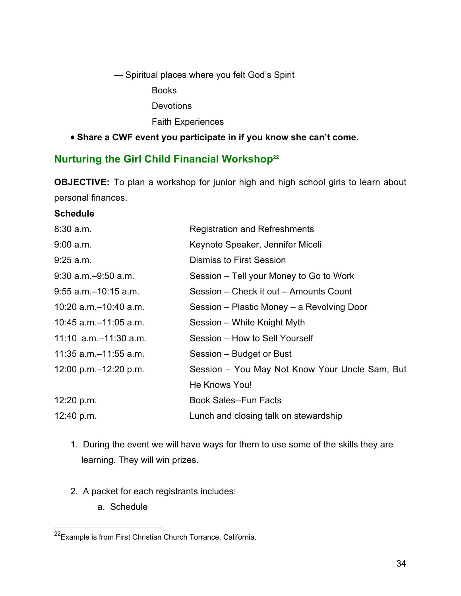<span id="page-33-0"></span>— Spiritual places where you felt God's Spirit

Books

**Devotions** 

Faith Experiences

# • **Share a CWF event you participate in if you know she can't come.**

# **Nurturing the Girl Child Financial Workshop22**

**OBJECTIVE:** To plan a workshop for junior high and high school girls to learn about personal finances.

### **Schedule**

| <b>Registration and Refreshments</b>           |  |
|------------------------------------------------|--|
| Keynote Speaker, Jennifer Miceli               |  |
| <b>Dismiss to First Session</b>                |  |
| Session – Tell your Money to Go to Work        |  |
| Session – Check it out – Amounts Count         |  |
| Session – Plastic Money – a Revolving Door     |  |
| Session – White Knight Myth                    |  |
| Session – How to Sell Yourself                 |  |
| Session - Budget or Bust                       |  |
| Session - You May Not Know Your Uncle Sam, But |  |
| He Knows You!                                  |  |
| <b>Book Sales--Fun Facts</b>                   |  |
| Lunch and closing talk on stewardship          |  |
|                                                |  |

- 1. During the event we will have ways for them to use some of the skills they are learning. They will win prizes.
- 2. A packet for each registrants includes:
	- a. Schedule

 $\overline{\phantom{a}}$ 

<sup>&</sup>lt;sup>22</sup>Example is from First Christian Church Torrance, California.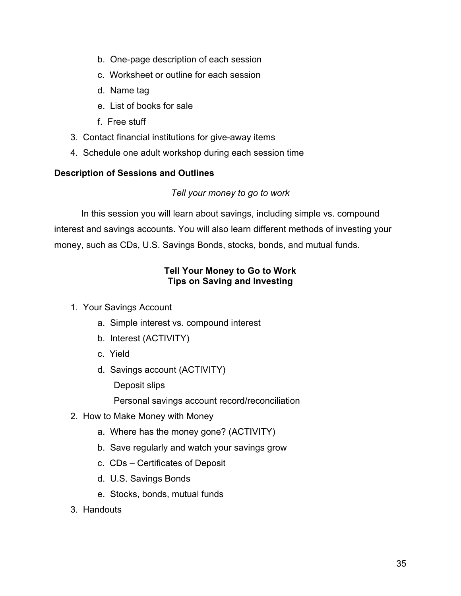- b. One-page description of each session
- c. Worksheet or outline for each session
- d. Name tag
- e. List of books for sale
- f. Free stuff
- 3. Contact financial institutions for give-away items
- 4. Schedule one adult workshop during each session time

### **Description of Sessions and Outlines**

### *Tell your money to go to work*

In this session you will learn about savings, including simple vs. compound interest and savings accounts. You will also learn different methods of investing your money, such as CDs, U.S. Savings Bonds, stocks, bonds, and mutual funds.

### **Tell Your Money to Go to Work Tips on Saving and Investing**

- 1. Your Savings Account
	- a. Simple interest vs. compound interest
	- b. Interest (ACTIVITY)
	- c. Yield
	- d. Savings account (ACTIVITY)

Deposit slips

Personal savings account record/reconciliation

- 2. How to Make Money with Money
	- a. Where has the money gone? (ACTIVITY)
	- b. Save regularly and watch your savings grow
	- c. CDs Certificates of Deposit
	- d. U.S. Savings Bonds
	- e. Stocks, bonds, mutual funds
- 3. Handouts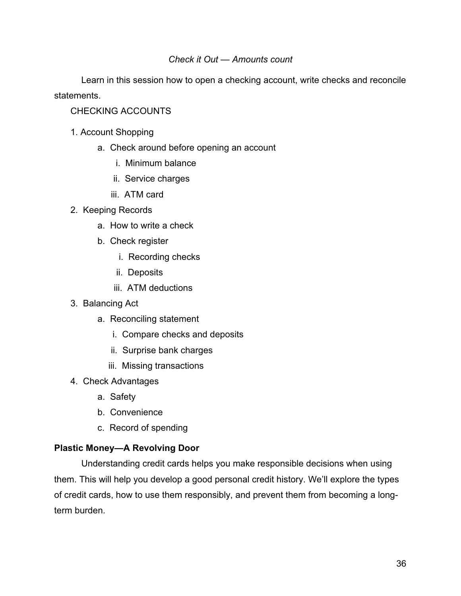### *Check it Out — Amounts count*

Learn in this session how to open a checking account, write checks and reconcile statements.

### CHECKING ACCOUNTS

- 1. Account Shopping
	- a. Check around before opening an account
		- i. Minimum balance
		- ii. Service charges
		- iii. ATM card
- 2. Keeping Records
	- a. How to write a check
	- b. Check register
		- i. Recording checks
		- ii. Deposits
		- iii. ATM deductions
- 3. Balancing Act
	- a. Reconciling statement
		- i. Compare checks and deposits
		- ii. Surprise bank charges
		- iii. Missing transactions
- 4. Check Advantages
	- a. Safety
	- b. Convenience
	- c. Record of spending

### **Plastic Money—A Revolving Door**

Understanding credit cards helps you make responsible decisions when using them. This will help you develop a good personal credit history. We'll explore the types of credit cards, how to use them responsibly, and prevent them from becoming a longterm burden.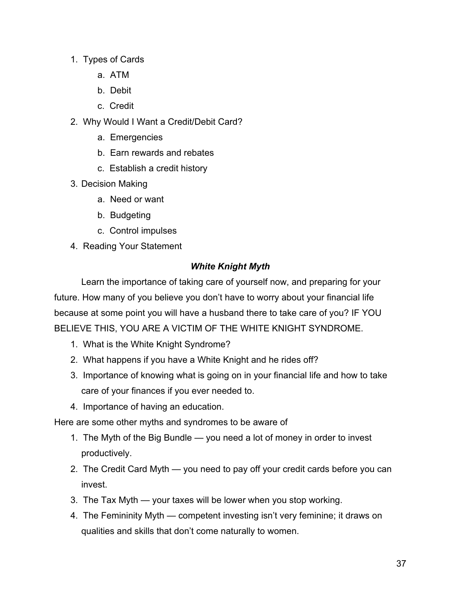- 1. Types of Cards
	- a. ATM
	- b. Debit
	- c. Credit
- 2. Why Would I Want a Credit/Debit Card?
	- a. Emergencies
	- b. Earn rewards and rebates
	- c. Establish a credit history
- 3. Decision Making
	- a. Need or want
	- b. Budgeting
	- c. Control impulses
- 4. Reading Your Statement

### *White Knight Myth*

Learn the importance of taking care of yourself now, and preparing for your future. How many of you believe you don't have to worry about your financial life because at some point you will have a husband there to take care of you? IF YOU BELIEVE THIS, YOU ARE A VICTIM OF THE WHITE KNIGHT SYNDROME.

- 1. What is the White Knight Syndrome?
- 2. What happens if you have a White Knight and he rides off?
- 3. Importance of knowing what is going on in your financial life and how to take care of your finances if you ever needed to.
- 4. Importance of having an education.

Here are some other myths and syndromes to be aware of

- 1. The Myth of the Big Bundle you need a lot of money in order to invest productively.
- 2. The Credit Card Myth you need to pay off your credit cards before you can invest.
- 3. The Tax Myth your taxes will be lower when you stop working.
- 4. The Femininity Myth competent investing isn't very feminine; it draws on qualities and skills that don't come naturally to women.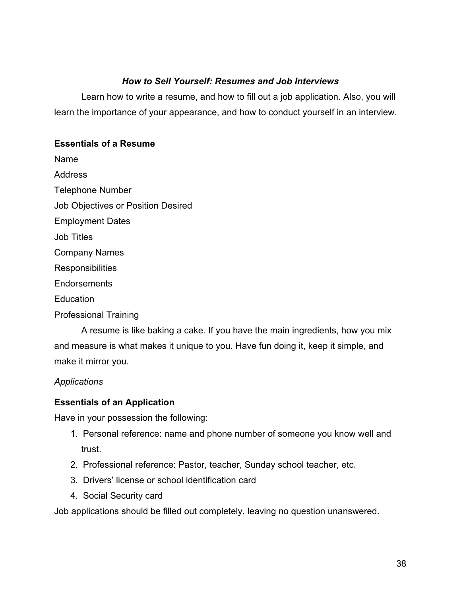### *How to Sell Yourself: Resumes and Job Interviews*

Learn how to write a resume, and how to fill out a job application. Also, you will learn the importance of your appearance, and how to conduct yourself in an interview.

### **Essentials of a Resume**

Name

**Address** 

Telephone Number

Job Objectives or Position Desired

Employment Dates

Job Titles

Company Names

**Responsibilities** 

**Endorsements** 

**Education** 

Professional Training

A resume is like baking a cake. If you have the main ingredients, how you mix and measure is what makes it unique to you. Have fun doing it, keep it simple, and make it mirror you.

*Applications*

# **Essentials of an Application**

Have in your possession the following:

- 1. Personal reference: name and phone number of someone you know well and trust.
- 2. Professional reference: Pastor, teacher, Sunday school teacher, etc.
- 3. Drivers' license or school identification card
- 4. Social Security card

Job applications should be filled out completely, leaving no question unanswered.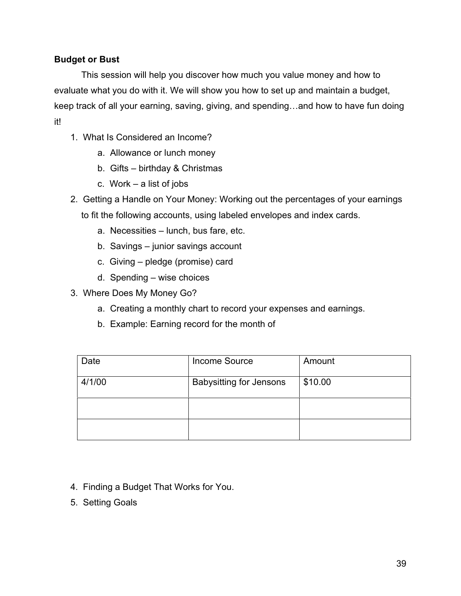### **Budget or Bust**

This session will help you discover how much you value money and how to evaluate what you do with it. We will show you how to set up and maintain a budget, keep track of all your earning, saving, giving, and spending…and how to have fun doing it!

- 1. What Is Considered an Income?
	- a. Allowance or lunch money
	- b. Gifts birthday & Christmas
	- c. Work a list of jobs
- 2. Getting a Handle on Your Money: Working out the percentages of your earnings to fit the following accounts, using labeled envelopes and index cards.
	- a. Necessities lunch, bus fare, etc.
	- b. Savings junior savings account
	- c. Giving pledge (promise) card
	- d. Spending wise choices
- 3. Where Does My Money Go?
	- a. Creating a monthly chart to record your expenses and earnings.
	- b. Example: Earning record for the month of

| Date   | Income Source                  | Amount  |
|--------|--------------------------------|---------|
| 4/1/00 | <b>Babysitting for Jensons</b> | \$10.00 |
|        |                                |         |
|        |                                |         |

- 4. Finding a Budget That Works for You.
- 5. Setting Goals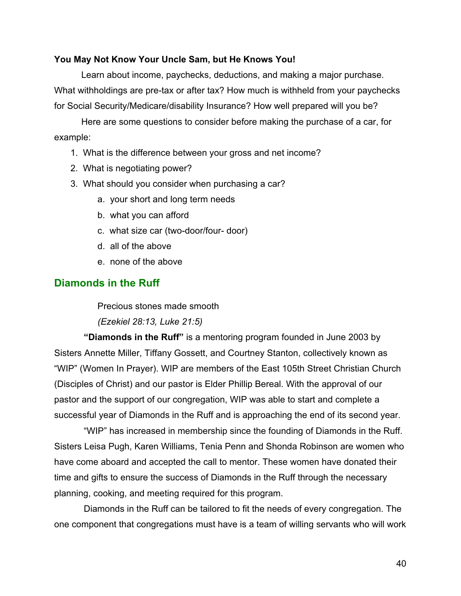### <span id="page-39-0"></span>**You May Not Know Your Uncle Sam, but He Knows You!**

Learn about income, paychecks, deductions, and making a major purchase. What withholdings are pre-tax or after tax? How much is withheld from your paychecks for Social Security/Medicare/disability Insurance? How well prepared will you be?

Here are some questions to consider before making the purchase of a car, for example:

- 1. What is the difference between your gross and net income?
- 2. What is negotiating power?
- 3. What should you consider when purchasing a car?
	- a. your short and long term needs
	- b. what you can afford
	- c. what size car (two-door/four- door)
	- d. all of the above
	- e. none of the above

# **Diamonds in the Ruff**

Precious stones made smooth

*(Ezekiel 28:13, Luke 21:5)*

**"Diamonds in the Ruff"** is a mentoring program founded in June 2003 by Sisters Annette Miller, Tiffany Gossett, and Courtney Stanton, collectively known as "WIP" (Women In Prayer). WIP are members of the East 105th Street Christian Church (Disciples of Christ) and our pastor is Elder Phillip Bereal. With the approval of our pastor and the support of our congregation, WIP was able to start and complete a successful year of Diamonds in the Ruff and is approaching the end of its second year.

 "WIP" has increased in membership since the founding of Diamonds in the Ruff. Sisters Leisa Pugh, Karen Williams, Tenia Penn and Shonda Robinson are women who have come aboard and accepted the call to mentor. These women have donated their time and gifts to ensure the success of Diamonds in the Ruff through the necessary planning, cooking, and meeting required for this program.

 Diamonds in the Ruff can be tailored to fit the needs of every congregation. The one component that congregations must have is a team of willing servants who will work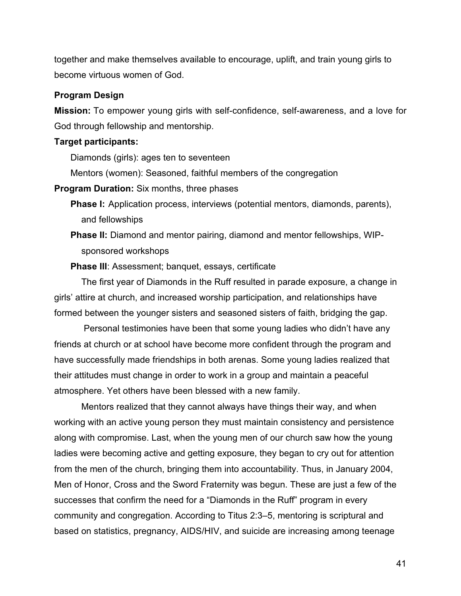together and make themselves available to encourage, uplift, and train young girls to become virtuous women of God.

### **Program Design**

**Mission:** To empower young girls with self-confidence, self-awareness, and a love for God through fellowship and mentorship.

### **Target participants:**

Diamonds (girls): ages ten to seventeen

Mentors (women): Seasoned, faithful members of the congregation

**Program Duration:** Six months, three phases

- **Phase I:** Application process, interviews (potential mentors, diamonds, parents), and fellowships
- **Phase II:** Diamond and mentor pairing, diamond and mentor fellowships, WIPsponsored workshops
- **Phase III**: Assessment; banquet, essays, certificate

The first year of Diamonds in the Ruff resulted in parade exposure, a change in girls' attire at church, and increased worship participation, and relationships have formed between the younger sisters and seasoned sisters of faith, bridging the gap.

 Personal testimonies have been that some young ladies who didn't have any friends at church or at school have become more confident through the program and have successfully made friendships in both arenas. Some young ladies realized that their attitudes must change in order to work in a group and maintain a peaceful atmosphere. Yet others have been blessed with a new family.

Mentors realized that they cannot always have things their way, and when working with an active young person they must maintain consistency and persistence along with compromise. Last, when the young men of our church saw how the young ladies were becoming active and getting exposure, they began to cry out for attention from the men of the church, bringing them into accountability. Thus, in January 2004, Men of Honor, Cross and the Sword Fraternity was begun. These are just a few of the successes that confirm the need for a "Diamonds in the Ruff" program in every community and congregation. According to Titus 2:3–5, mentoring is scriptural and based on statistics, pregnancy, AIDS/HIV, and suicide are increasing among teenage